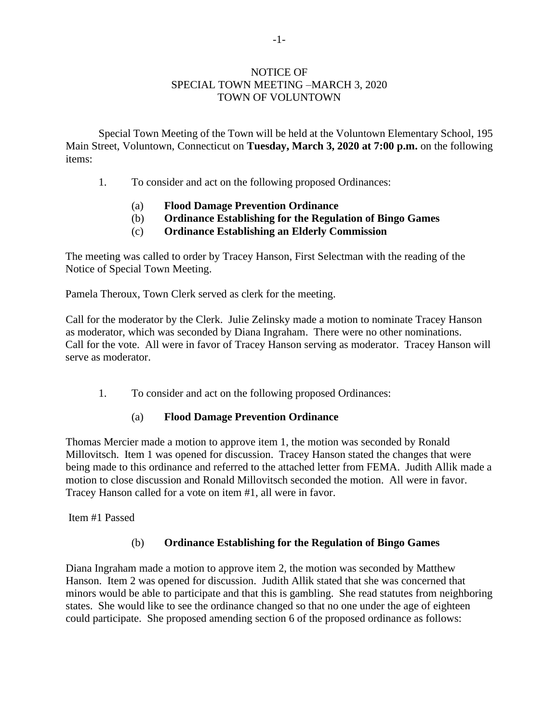#### NOTICE OF SPECIAL TOWN MEETING –MARCH 3, 2020 TOWN OF VOLUNTOWN

Special Town Meeting of the Town will be held at the Voluntown Elementary School, 195 Main Street, Voluntown, Connecticut on **Tuesday, March 3, 2020 at 7:00 p.m.** on the following items:

- 1. To consider and act on the following proposed Ordinances:
	- (a) **Flood Damage Prevention Ordinance**
	- (b) **Ordinance Establishing for the Regulation of Bingo Games**
	- (c) **Ordinance Establishing an Elderly Commission**

The meeting was called to order by Tracey Hanson, First Selectman with the reading of the Notice of Special Town Meeting.

Pamela Theroux, Town Clerk served as clerk for the meeting.

Call for the moderator by the Clerk. Julie Zelinsky made a motion to nominate Tracey Hanson as moderator, which was seconded by Diana Ingraham. There were no other nominations. Call for the vote. All were in favor of Tracey Hanson serving as moderator. Tracey Hanson will serve as moderator.

1. To consider and act on the following proposed Ordinances:

# (a) **Flood Damage Prevention Ordinance**

Thomas Mercier made a motion to approve item 1, the motion was seconded by Ronald Millovitsch. Item 1 was opened for discussion. Tracey Hanson stated the changes that were being made to this ordinance and referred to the attached letter from FEMA. Judith Allik made a motion to close discussion and Ronald Millovitsch seconded the motion. All were in favor. Tracey Hanson called for a vote on item #1, all were in favor.

Item #1 Passed

# (b) **Ordinance Establishing for the Regulation of Bingo Games**

Diana Ingraham made a motion to approve item 2, the motion was seconded by Matthew Hanson. Item 2 was opened for discussion. Judith Allik stated that she was concerned that minors would be able to participate and that this is gambling. She read statutes from neighboring states. She would like to see the ordinance changed so that no one under the age of eighteen could participate. She proposed amending section 6 of the proposed ordinance as follows: